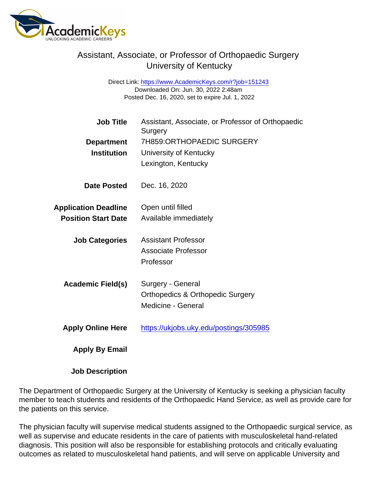## Assistant, Associate, or Professor of Orthopaedic Surgery University of Kentucky

Direct Link: <https://www.AcademicKeys.com/r?job=151243> Downloaded On: Jun. 30, 2022 2:48am Posted Dec. 16, 2020, set to expire Jul. 1, 2022

| <b>Job Title</b>            | Assistant, Associate, or Professor of Orthopaedic<br>Surgery |
|-----------------------------|--------------------------------------------------------------|
| Department                  | 7H859:ORTHOPAEDIC SURGERY                                    |
| Institution                 | University of Kentucky                                       |
|                             | Lexington, Kentucky                                          |
| Date Posted                 | Dec. 16, 2020                                                |
| <b>Application Deadline</b> | Open until filled                                            |
| <b>Position Start Date</b>  | Available immediately                                        |
| <b>Job Categories</b>       | <b>Assistant Professor</b>                                   |
|                             | <b>Associate Professor</b>                                   |
|                             | Professor                                                    |
| Academic Field(s)           | Surgery - General                                            |
|                             | <b>Orthopedics &amp; Orthopedic Surgery</b>                  |
|                             | Medicine - General                                           |
| <b>Apply Online Here</b>    | https://ukjobs.uky.edu/postings/305985                       |
| Apply By Email              |                                                              |

Job Description

The Department of Orthopaedic Surgery at the University of Kentucky is seeking a physician faculty member to teach students and residents of the Orthopaedic Hand Service, as well as provide care for the patients on this service.

The physician faculty will supervise medical students assigned to the Orthopaedic surgical service, as well as supervise and educate residents in the care of patients with musculoskeletal hand-related diagnosis. This position will also be responsible for establishing protocols and critically evaluating outcomes as related to musculoskeletal hand patients, and will serve on applicable University and